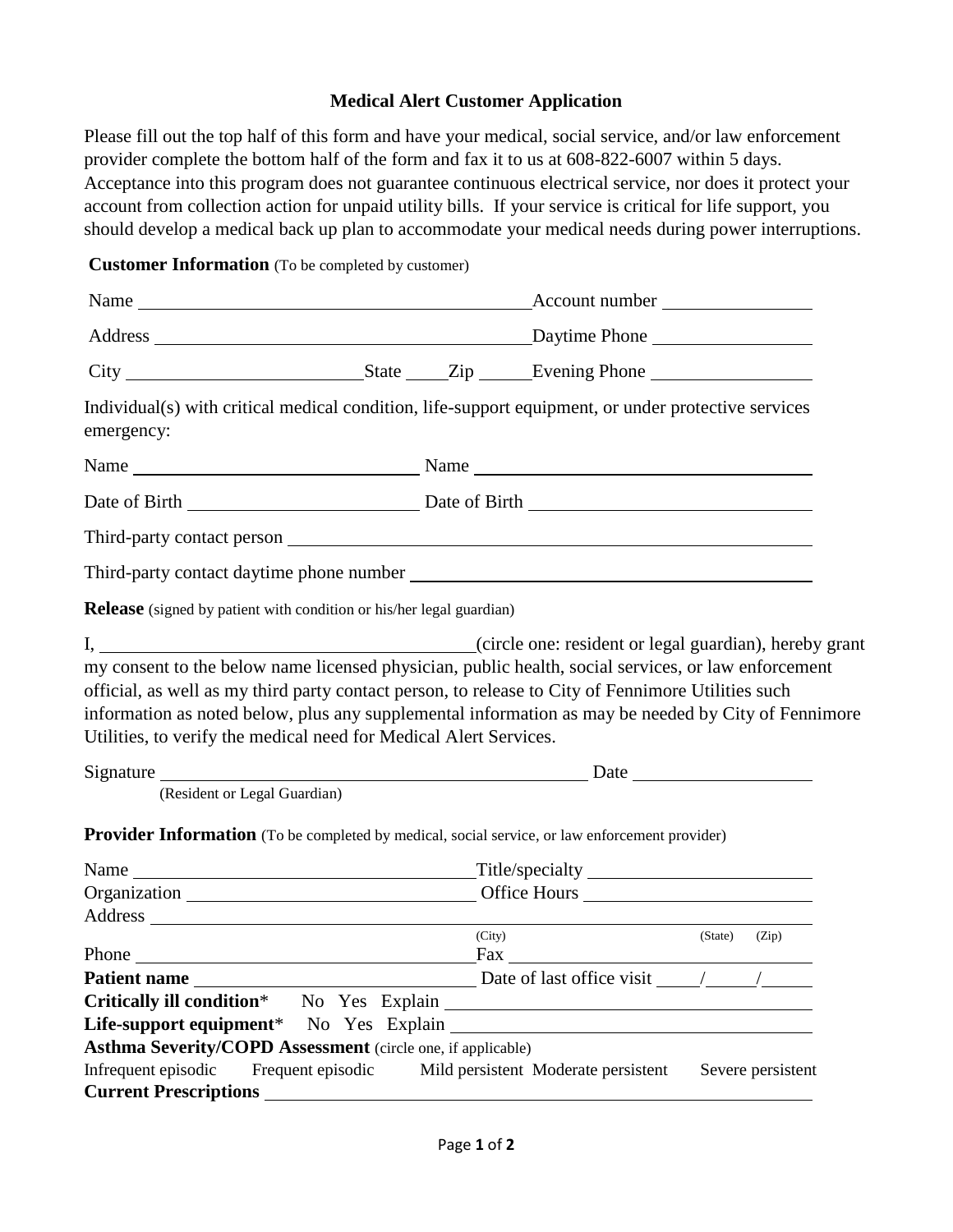## **Medical Alert Customer Application**

Please fill out the top half of this form and have your medical, social service, and/or law enforcement provider complete the bottom half of the form and fax it to us at 608-822-6007 within 5 days. Acceptance into this program does not guarantee continuous electrical service, nor does it protect your account from collection action for unpaid utility bills. If your service is critical for life support, you should develop a medical back up plan to accommodate your medical needs during power interruptions.

**Customer Information** (To be completed by customer)

|                                                                                                                                                                                                                                                                                                                                                                                                                                                                                                                 | Account number<br>Name                                                                                         |        |  |               |  |
|-----------------------------------------------------------------------------------------------------------------------------------------------------------------------------------------------------------------------------------------------------------------------------------------------------------------------------------------------------------------------------------------------------------------------------------------------------------------------------------------------------------------|----------------------------------------------------------------------------------------------------------------|--------|--|---------------|--|
|                                                                                                                                                                                                                                                                                                                                                                                                                                                                                                                 |                                                                                                                |        |  |               |  |
|                                                                                                                                                                                                                                                                                                                                                                                                                                                                                                                 |                                                                                                                |        |  |               |  |
| Individual(s) with critical medical condition, life-support equipment, or under protective services<br>emergency:                                                                                                                                                                                                                                                                                                                                                                                               |                                                                                                                |        |  |               |  |
|                                                                                                                                                                                                                                                                                                                                                                                                                                                                                                                 |                                                                                                                |        |  |               |  |
|                                                                                                                                                                                                                                                                                                                                                                                                                                                                                                                 |                                                                                                                |        |  |               |  |
|                                                                                                                                                                                                                                                                                                                                                                                                                                                                                                                 |                                                                                                                |        |  |               |  |
|                                                                                                                                                                                                                                                                                                                                                                                                                                                                                                                 |                                                                                                                |        |  |               |  |
| <b>Release</b> (signed by patient with condition or his/her legal guardian)                                                                                                                                                                                                                                                                                                                                                                                                                                     |                                                                                                                |        |  |               |  |
| official, as well as my third party contact person, to release to City of Fennimore Utilities such<br>information as noted below, plus any supplemental information as may be needed by City of Fennimore<br>Utilities, to verify the medical need for Medical Alert Services.<br>Signature Date Date Date Development of the Signature Date Date Date Date Development of the Signature of the Signature of the Signature of the Signature of the Signature of the Signature of the Signature of the Signature |                                                                                                                |        |  |               |  |
| (Resident or Legal Guardian)                                                                                                                                                                                                                                                                                                                                                                                                                                                                                    |                                                                                                                |        |  |               |  |
| <b>Provider Information</b> (To be completed by medical, social service, or law enforcement provider)                                                                                                                                                                                                                                                                                                                                                                                                           |                                                                                                                |        |  |               |  |
|                                                                                                                                                                                                                                                                                                                                                                                                                                                                                                                 |                                                                                                                |        |  |               |  |
|                                                                                                                                                                                                                                                                                                                                                                                                                                                                                                                 | Organization Communication Communication Communication Communication Communication Communication Communication |        |  |               |  |
|                                                                                                                                                                                                                                                                                                                                                                                                                                                                                                                 |                                                                                                                | (City) |  |               |  |
|                                                                                                                                                                                                                                                                                                                                                                                                                                                                                                                 |                                                                                                                |        |  | (State) (Zip) |  |
|                                                                                                                                                                                                                                                                                                                                                                                                                                                                                                                 |                                                                                                                |        |  |               |  |
|                                                                                                                                                                                                                                                                                                                                                                                                                                                                                                                 |                                                                                                                |        |  |               |  |
|                                                                                                                                                                                                                                                                                                                                                                                                                                                                                                                 |                                                                                                                |        |  |               |  |
| <b>Asthma Severity/COPD Assessment</b> (circle one, if applicable)<br>Infrequent episodic Frequent episodic Mild persistent Moderate persistent Severe persistent                                                                                                                                                                                                                                                                                                                                               |                                                                                                                |        |  |               |  |
|                                                                                                                                                                                                                                                                                                                                                                                                                                                                                                                 |                                                                                                                |        |  |               |  |